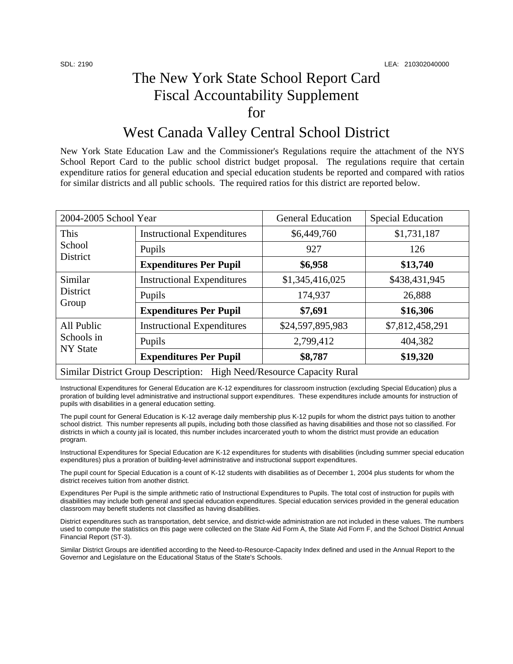## The New York State School Report Card Fiscal Accountability Supplement for

## West Canada Valley Central School District

New York State Education Law and the Commissioner's Regulations require the attachment of the NYS School Report Card to the public school district budget proposal. The regulations require that certain expenditure ratios for general education and special education students be reported and compared with ratios for similar districts and all public schools. The required ratios for this district are reported below.

| 2004-2005 School Year                                                 |                                   | <b>General Education</b> | <b>Special Education</b> |  |  |
|-----------------------------------------------------------------------|-----------------------------------|--------------------------|--------------------------|--|--|
| This<br>School<br>District                                            | <b>Instructional Expenditures</b> | \$6,449,760              | \$1,731,187              |  |  |
|                                                                       | Pupils                            | 927                      | 126                      |  |  |
|                                                                       | <b>Expenditures Per Pupil</b>     | \$6,958                  | \$13,740                 |  |  |
| Similar<br><b>District</b><br>Group                                   | <b>Instructional Expenditures</b> | \$1,345,416,025          | \$438,431,945            |  |  |
|                                                                       | Pupils                            | 174,937                  | 26,888                   |  |  |
|                                                                       | <b>Expenditures Per Pupil</b>     | \$7,691                  | \$16,306                 |  |  |
| All Public<br>Schools in<br><b>NY State</b>                           | <b>Instructional Expenditures</b> | \$24,597,895,983         | \$7,812,458,291          |  |  |
|                                                                       | Pupils                            | 2,799,412                | 404,382                  |  |  |
|                                                                       | <b>Expenditures Per Pupil</b>     | \$8,787                  | \$19,320                 |  |  |
| Similar District Group Description: High Need/Resource Capacity Rural |                                   |                          |                          |  |  |

Instructional Expenditures for General Education are K-12 expenditures for classroom instruction (excluding Special Education) plus a proration of building level administrative and instructional support expenditures. These expenditures include amounts for instruction of pupils with disabilities in a general education setting.

The pupil count for General Education is K-12 average daily membership plus K-12 pupils for whom the district pays tuition to another school district. This number represents all pupils, including both those classified as having disabilities and those not so classified. For districts in which a county jail is located, this number includes incarcerated youth to whom the district must provide an education program.

Instructional Expenditures for Special Education are K-12 expenditures for students with disabilities (including summer special education expenditures) plus a proration of building-level administrative and instructional support expenditures.

The pupil count for Special Education is a count of K-12 students with disabilities as of December 1, 2004 plus students for whom the district receives tuition from another district.

Expenditures Per Pupil is the simple arithmetic ratio of Instructional Expenditures to Pupils. The total cost of instruction for pupils with disabilities may include both general and special education expenditures. Special education services provided in the general education classroom may benefit students not classified as having disabilities.

District expenditures such as transportation, debt service, and district-wide administration are not included in these values. The numbers used to compute the statistics on this page were collected on the State Aid Form A, the State Aid Form F, and the School District Annual Financial Report (ST-3).

Similar District Groups are identified according to the Need-to-Resource-Capacity Index defined and used in the Annual Report to the Governor and Legislature on the Educational Status of the State's Schools.